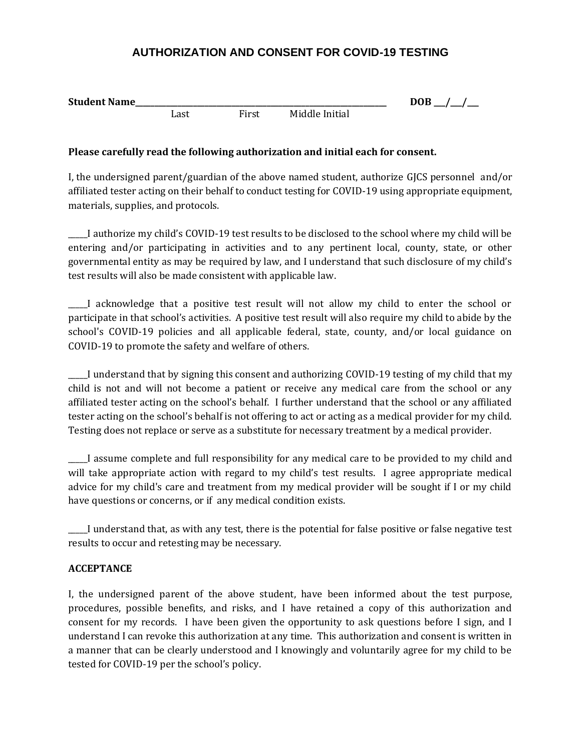## **AUTHORIZATION AND CONSENT FOR COVID-19 TESTING**

| <b>Student Name</b> |      |       |                | DOB |
|---------------------|------|-------|----------------|-----|
|                     | Last | First | Middle Initial |     |

## **Please carefully read the following authorization and initial each for consent.**

I, the undersigned parent/guardian of the above named student, authorize GJCS personnel and/or affiliated tester acting on their behalf to conduct testing for COVID-19 using appropriate equipment, materials, supplies, and protocols.

\_\_\_\_\_I authorize my child's COVID-19 test results to be disclosed to the school where my child will be entering and/or participating in activities and to any pertinent local, county, state, or other governmental entity as may be required by law, and I understand that such disclosure of my child's test results will also be made consistent with applicable law.

\_\_\_\_\_I acknowledge that a positive test result will not allow my child to enter the school or participate in that school's activities. A positive test result will also require my child to abide by the school's COVID-19 policies and all applicable federal, state, county, and/or local guidance on COVID-19 to promote the safety and welfare of others.

\_\_\_\_\_I understand that by signing this consent and authorizing COVID-19 testing of my child that my child is not and will not become a patient or receive any medical care from the school or any affiliated tester acting on the school's behalf. I further understand that the school or any affiliated tester acting on the school's behalf is not offering to act or acting as a medical provider for my child. Testing does not replace or serve as a substitute for necessary treatment by a medical provider.

\_\_\_\_\_I assume complete and full responsibility for any medical care to be provided to my child and will take appropriate action with regard to my child's test results. I agree appropriate medical advice for my child's care and treatment from my medical provider will be sought if I or my child have questions or concerns, or if any medical condition exists.

\_\_\_\_\_I understand that, as with any test, there is the potential for false positive or false negative test results to occur and retesting may be necessary.

## **ACCEPTANCE**

I, the undersigned parent of the above student, have been informed about the test purpose, procedures, possible benefits, and risks, and I have retained a copy of this authorization and consent for my records. I have been given the opportunity to ask questions before I sign, and I understand I can revoke this authorization at any time. This authorization and consent is written in a manner that can be clearly understood and I knowingly and voluntarily agree for my child to be tested for COVID-19 per the school's policy.